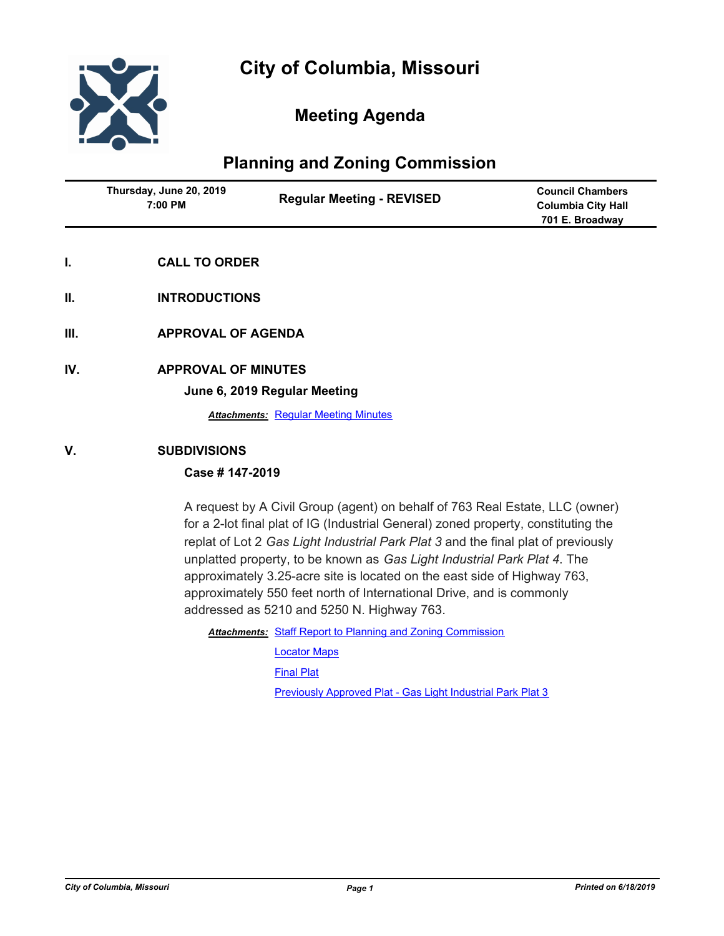

# **Meeting Agenda**

# **Planning and Zoning Commission**

| Thursday, June 20, 2019<br>7:00 PM | <b>Regular Meeting - REVISED</b> | <b>Council Chambers</b><br><b>Columbia City Hall</b><br>701 E. Broadway |
|------------------------------------|----------------------------------|-------------------------------------------------------------------------|
|                                    |                                  |                                                                         |

- **I. CALL TO ORDER**
- **II. INTRODUCTIONS**
- **III. APPROVAL OF AGENDA**
- **IV. APPROVAL OF MINUTES**

**June 6, 2019 Regular Meeting**

**Attachments: [Regular Meeting Minutes](http://gocolumbiamo.legistar.com/gateway.aspx?M=F&ID=a201116d-8d56-4fac-bc45-ec69a0c6c3b4.docx)** 

### **V. SUBDIVISIONS**

## **Case # 147-2019**

A request by A Civil Group (agent) on behalf of 763 Real Estate, LLC (owner) for a 2-lot final plat of IG (Industrial General) zoned property, constituting the replat of Lot 2 *Gas Light Industrial Park Plat 3* and the final plat of previously unplatted property, to be known as *Gas Light Industrial Park Plat 4*. The approximately 3.25-acre site is located on the east side of Highway 763, approximately 550 feet north of International Drive, and is commonly addressed as 5210 and 5250 N. Highway 763.

Attachments: [Staff Report to Planning and Zoning Commission](http://gocolumbiamo.legistar.com/gateway.aspx?M=F&ID=6aab7ce4-9059-45ab-943c-21039b6890fd.docx)

[Locator Maps](http://gocolumbiamo.legistar.com/gateway.aspx?M=F&ID=b5d5fe0b-3a4f-4159-8cef-ff27d5cb74fa.pdf)

[Final Plat](http://gocolumbiamo.legistar.com/gateway.aspx?M=F&ID=60354952-2f80-40b4-979f-2bbb1acf834f.pdf)

[Previously Approved Plat - Gas Light Industrial Park Plat 3](http://gocolumbiamo.legistar.com/gateway.aspx?M=F&ID=5c4a23d8-2285-4ff6-9a73-9398d9d58e52.pdf)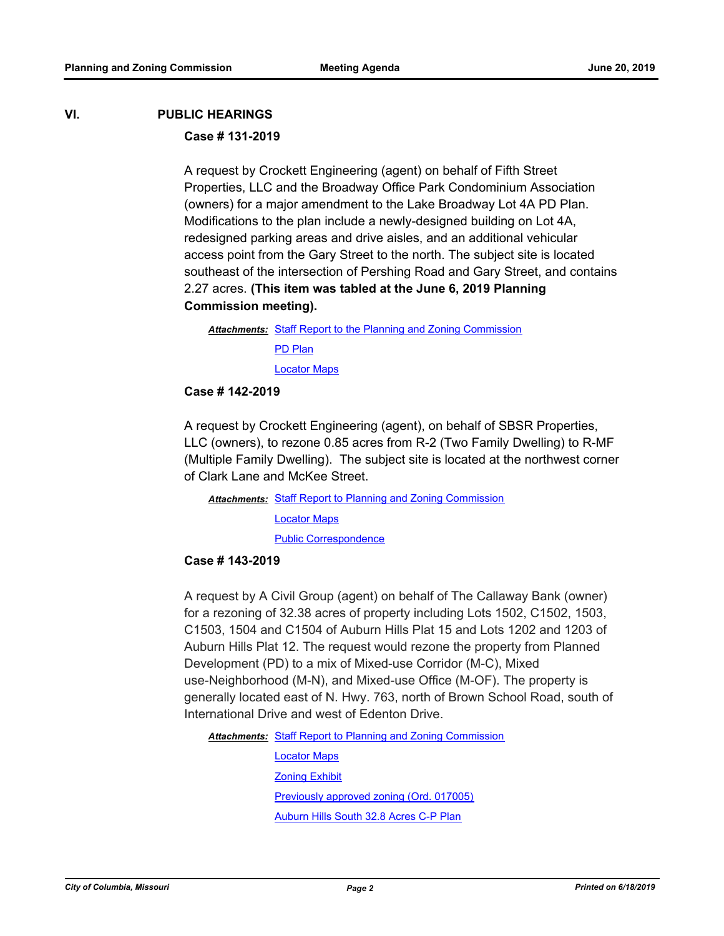## **VI. PUBLIC HEARINGS**

### **Case # 131-2019**

A request by Crockett Engineering (agent) on behalf of Fifth Street Properties, LLC and the Broadway Office Park Condominium Association (owners) for a major amendment to the Lake Broadway Lot 4A PD Plan. Modifications to the plan include a newly-designed building on Lot 4A, redesigned parking areas and drive aisles, and an additional vehicular access point from the Gary Street to the north. The subject site is located southeast of the intersection of Pershing Road and Gary Street, and contains 2.27 acres. **(This item was tabled at the June 6, 2019 Planning Commission meeting).**

Attachments: [Staff Report to the Planning and Zoning Commission](http://gocolumbiamo.legistar.com/gateway.aspx?M=F&ID=424e6e0b-f700-4fcb-b63b-26cdb74e1221.docx) [PD Plan](http://gocolumbiamo.legistar.com/gateway.aspx?M=F&ID=0c2dec09-a79e-4c78-a374-697ba352db9e.pdf) [Locator Maps](http://gocolumbiamo.legistar.com/gateway.aspx?M=F&ID=f9b000ef-084f-4d93-8589-75f4d5de1a8e.pdf)

## **Case # 142-2019**

A request by Crockett Engineering (agent), on behalf of SBSR Properties, LLC (owners), to rezone 0.85 acres from R-2 (Two Family Dwelling) to R-MF (Multiple Family Dwelling). The subject site is located at the northwest corner of Clark Lane and McKee Street.

Attachments: [Staff Report to Planning and Zoning Commission](http://gocolumbiamo.legistar.com/gateway.aspx?M=F&ID=6b7365c0-ce8a-4932-910a-814004567bcf.docx) [Locator Maps](http://gocolumbiamo.legistar.com/gateway.aspx?M=F&ID=a1bf3bad-e6fc-4b85-909d-ff003b999ed1.pdf) [Public Correspondence](http://gocolumbiamo.legistar.com/gateway.aspx?M=F&ID=68454d7d-2247-4b69-9aed-ce37867e12ea.pdf)

#### **Case # 143-2019**

A request by A Civil Group (agent) on behalf of The Callaway Bank (owner) for a rezoning of 32.38 acres of property including Lots 1502, C1502, 1503, C1503, 1504 and C1504 of Auburn Hills Plat 15 and Lots 1202 and 1203 of Auburn Hills Plat 12. The request would rezone the property from Planned Development (PD) to a mix of Mixed-use Corridor (M-C), Mixed use-Neighborhood (M-N), and Mixed-use Office (M-OF). The property is generally located east of N. Hwy. 763, north of Brown School Road, south of International Drive and west of Edenton Drive.

Attachments: [Staff Report to Planning and Zoning Commission](http://gocolumbiamo.legistar.com/gateway.aspx?M=F&ID=4d40a61d-d971-4dd8-b3b2-04cfbae432f5.docx)

[Locator Maps](http://gocolumbiamo.legistar.com/gateway.aspx?M=F&ID=3e23c93b-e9c6-4a4a-92fb-c8184cf40c0a.pdf) [Zoning Exhibit](http://gocolumbiamo.legistar.com/gateway.aspx?M=F&ID=3f6a2f83-6302-47aa-9711-14c2c241654c.pdf) [Previously approved zoning \(Ord. 017005\)](http://gocolumbiamo.legistar.com/gateway.aspx?M=F&ID=aa138e91-e201-4a2f-82cd-67cc91f462b7.pdf) [Auburn Hills South 32.8 Acres C-P Plan](http://gocolumbiamo.legistar.com/gateway.aspx?M=F&ID=884326a2-6806-4c40-8dd2-29d4cdf0c8a7.pdf)